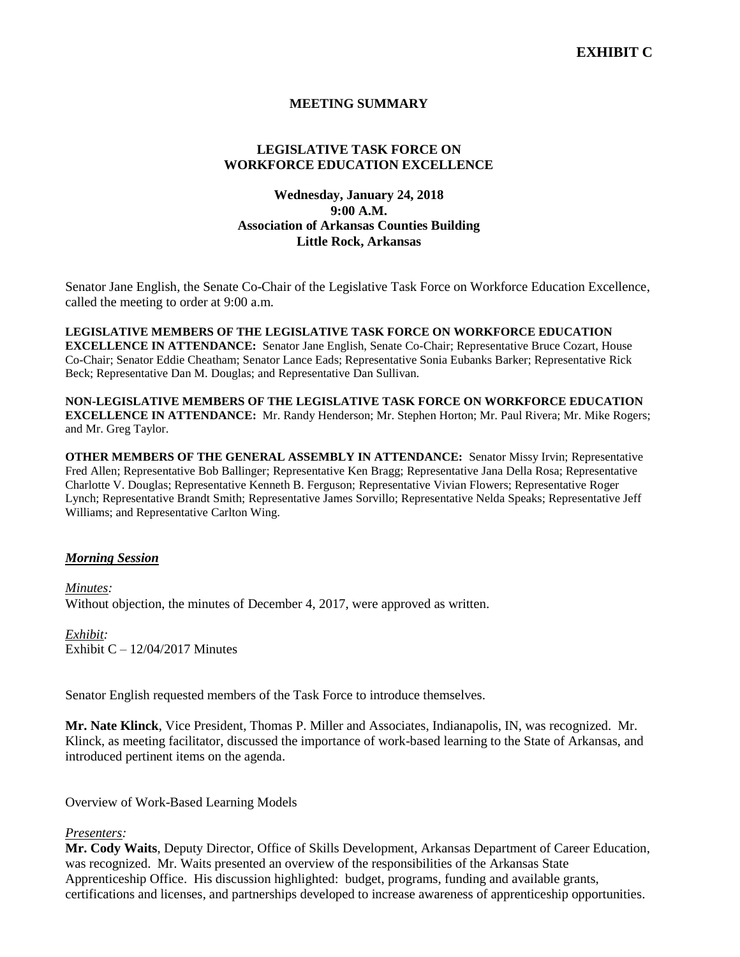## **MEETING SUMMARY**

# **LEGISLATIVE TASK FORCE ON WORKFORCE EDUCATION EXCELLENCE**

## **Wednesday, January 24, 2018 9:00 A.M. Association of Arkansas Counties Building Little Rock, Arkansas**

Senator Jane English, the Senate Co-Chair of the Legislative Task Force on Workforce Education Excellence, called the meeting to order at 9:00 a.m.

**LEGISLATIVE MEMBERS OF THE LEGISLATIVE TASK FORCE ON WORKFORCE EDUCATION EXCELLENCE IN ATTENDANCE:** Senator Jane English, Senate Co-Chair; Representative Bruce Cozart, House Co-Chair; Senator Eddie Cheatham; Senator Lance Eads; Representative Sonia Eubanks Barker; Representative Rick Beck; Representative Dan M. Douglas; and Representative Dan Sullivan.

**NON-LEGISLATIVE MEMBERS OF THE LEGISLATIVE TASK FORCE ON WORKFORCE EDUCATION EXCELLENCE IN ATTENDANCE:** Mr. Randy Henderson; Mr. Stephen Horton; Mr. Paul Rivera; Mr. Mike Rogers; and Mr. Greg Taylor.

**OTHER MEMBERS OF THE GENERAL ASSEMBLY IN ATTENDANCE:** Senator Missy Irvin; Representative Fred Allen; Representative Bob Ballinger; Representative Ken Bragg; Representative Jana Della Rosa; Representative Charlotte V. Douglas; Representative Kenneth B. Ferguson; Representative Vivian Flowers; Representative Roger Lynch; Representative Brandt Smith; Representative James Sorvillo; Representative Nelda Speaks; Representative Jeff Williams; and Representative Carlton Wing.

#### *Morning Session*

*Minutes:* Without objection, the minutes of December 4, 2017, were approved as written.

*Exhibit:* Exhibit  $C - 12/04/2017$  Minutes

Senator English requested members of the Task Force to introduce themselves.

**Mr. Nate Klinck**, Vice President, Thomas P. Miller and Associates, Indianapolis, IN, was recognized. Mr. Klinck, as meeting facilitator, discussed the importance of work-based learning to the State of Arkansas, and introduced pertinent items on the agenda.

Overview of Work-Based Learning Models

#### *Presenters:*

**Mr. Cody Waits**, Deputy Director, Office of Skills Development, Arkansas Department of Career Education, was recognized. Mr. Waits presented an overview of the responsibilities of the Arkansas State Apprenticeship Office. His discussion highlighted: budget, programs, funding and available grants, certifications and licenses, and partnerships developed to increase awareness of apprenticeship opportunities.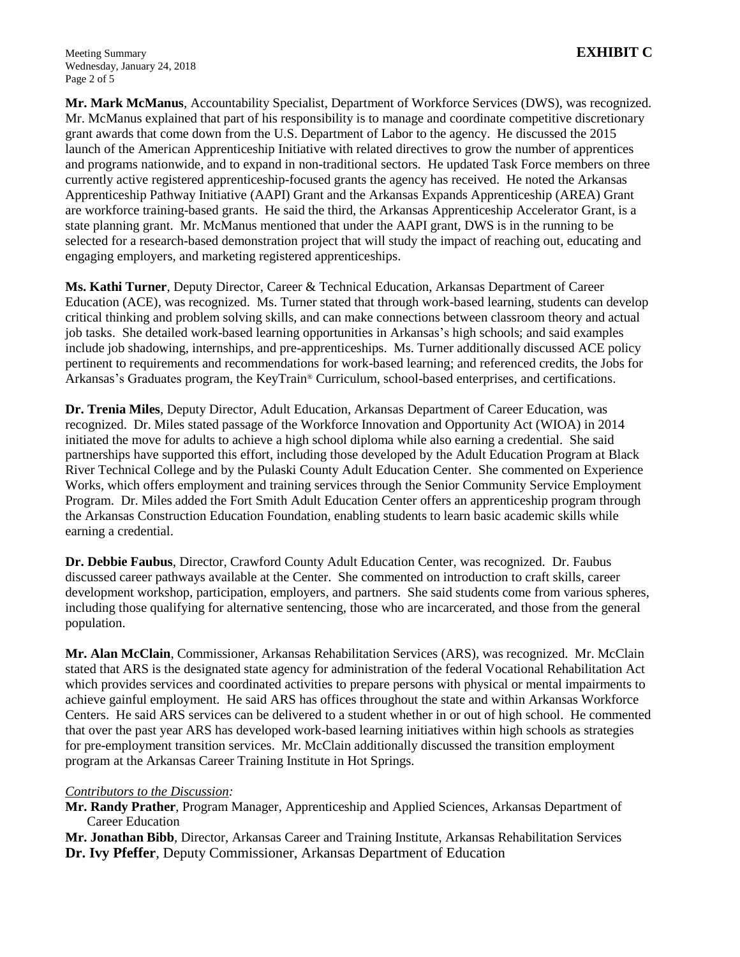**Mr. Mark McManus**, Accountability Specialist, Department of Workforce Services (DWS), was recognized. Mr. McManus explained that part of his responsibility is to manage and coordinate competitive discretionary grant awards that come down from the U.S. Department of Labor to the agency. He discussed the 2015 launch of the American Apprenticeship Initiative with related directives to grow the number of apprentices and programs nationwide, and to expand in non-traditional sectors. He updated Task Force members on three currently active registered apprenticeship-focused grants the agency has received. He noted the Arkansas Apprenticeship Pathway Initiative (AAPI) Grant and the Arkansas Expands Apprenticeship (AREA) Grant are workforce training-based grants. He said the third, the Arkansas Apprenticeship Accelerator Grant, is a state planning grant. Mr. McManus mentioned that under the AAPI grant, DWS is in the running to be selected for a research-based demonstration project that will study the impact of reaching out, educating and engaging employers, and marketing registered apprenticeships.

**Ms. Kathi Turner**, Deputy Director, Career & Technical Education, Arkansas Department of Career Education (ACE), was recognized. Ms. Turner stated that through work-based learning, students can develop critical thinking and problem solving skills, and can make connections between classroom theory and actual job tasks. She detailed work-based learning opportunities in Arkansas's high schools; and said examples include job shadowing, internships, and pre-apprenticeships. Ms. Turner additionally discussed ACE policy pertinent to requirements and recommendations for work-based learning; and referenced credits, the Jobs for Arkansas's Graduates program, the KeyTrain® Curriculum, school-based enterprises, and certifications.

**Dr. Trenia Miles**, Deputy Director, Adult Education, Arkansas Department of Career Education, was recognized. Dr. Miles stated passage of the Workforce Innovation and Opportunity Act (WIOA) in 2014 initiated the move for adults to achieve a high school diploma while also earning a credential. She said partnerships have supported this effort, including those developed by the Adult Education Program at Black River Technical College and by the Pulaski County Adult Education Center. She commented on Experience Works, which offers employment and training services through the Senior Community Service Employment Program. Dr. Miles added the Fort Smith Adult Education Center offers an apprenticeship program through the Arkansas Construction Education Foundation, enabling students to learn basic academic skills while earning a credential.

**Dr. Debbie Faubus**, Director, Crawford County Adult Education Center, was recognized. Dr. Faubus discussed career pathways available at the Center. She commented on introduction to craft skills, career development workshop, participation, employers, and partners. She said students come from various spheres, including those qualifying for alternative sentencing, those who are incarcerated, and those from the general population.

**Mr. Alan McClain**, Commissioner, Arkansas Rehabilitation Services (ARS), was recognized. Mr. McClain stated that ARS is the designated state agency for administration of the federal Vocational Rehabilitation Act which provides services and coordinated activities to prepare persons with physical or mental impairments to achieve gainful employment. He said ARS has offices throughout the state and within Arkansas Workforce Centers. He said ARS services can be delivered to a student whether in or out of high school. He commented that over the past year ARS has developed work-based learning initiatives within high schools as strategies for pre-employment transition services. Mr. McClain additionally discussed the transition employment program at the Arkansas Career Training Institute in Hot Springs.

### *Contributors to the Discussion:*

**Mr. Randy Prather**, Program Manager, Apprenticeship and Applied Sciences, Arkansas Department of Career Education

**Mr. Jonathan Bibb**, Director, Arkansas Career and Training Institute, Arkansas Rehabilitation Services **Dr. Ivy Pfeffer**, Deputy Commissioner, Arkansas Department of Education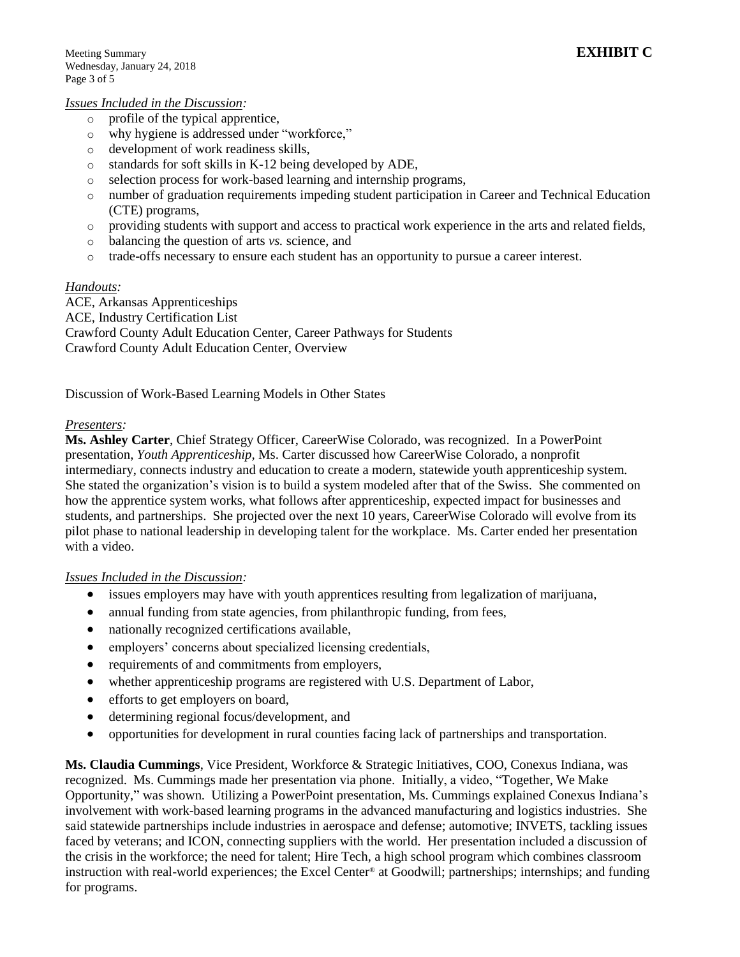#### *Issues Included in the Discussion:*

- o profile of the typical apprentice,
- o why hygiene is addressed under "workforce,"
- o development of work readiness skills,
- o standards for soft skills in K-12 being developed by ADE,
- o selection process for work-based learning and internship programs,
- o number of graduation requirements impeding student participation in Career and Technical Education (CTE) programs,
- o providing students with support and access to practical work experience in the arts and related fields,
- o balancing the question of arts *vs.* science, and
- o trade-offs necessary to ensure each student has an opportunity to pursue a career interest.

### *Handouts:*

ACE, Arkansas Apprenticeships ACE, Industry Certification List Crawford County Adult Education Center, Career Pathways for Students Crawford County Adult Education Center, Overview

Discussion of Work-Based Learning Models in Other States

### *Presenters:*

**Ms. Ashley Carter**, Chief Strategy Officer, CareerWise Colorado, was recognized. In a PowerPoint presentation, *Youth Apprenticeship,* Ms. Carter discussed how CareerWise Colorado, a nonprofit intermediary, connects industry and education to create a modern, statewide youth apprenticeship system. She stated the organization's vision is to build a system modeled after that of the Swiss. She commented on how the apprentice system works, what follows after apprenticeship, expected impact for businesses and students, and partnerships. She projected over the next 10 years, CareerWise Colorado will evolve from its pilot phase to national leadership in developing talent for the workplace. Ms. Carter ended her presentation with a video.

### *Issues Included in the Discussion:*

- issues employers may have with youth apprentices resulting from legalization of marijuana,
- annual funding from state agencies, from philanthropic funding, from fees,
- nationally recognized certifications available,
- employers' concerns about specialized licensing credentials,
- requirements of and commitments from employers,
- whether apprenticeship programs are registered with U.S. Department of Labor,
- efforts to get employers on board,
- determining regional focus/development, and
- opportunities for development in rural counties facing lack of partnerships and transportation.

**Ms. Claudia Cummings**, Vice President, Workforce & Strategic Initiatives, COO, Conexus Indiana, was recognized. Ms. Cummings made her presentation via phone. Initially, a video, "Together, We Make Opportunity," was shown. Utilizing a PowerPoint presentation, Ms. Cummings explained Conexus Indiana's involvement with work-based learning programs in the advanced manufacturing and logistics industries. She said statewide partnerships include industries in aerospace and defense; automotive; INVETS, tackling issues faced by veterans; and ICON, connecting suppliers with the world. Her presentation included a discussion of the crisis in the workforce; the need for talent; Hire Tech, a high school program which combines classroom instruction with real-world experiences; the Excel Center® at Goodwill; partnerships; internships; and funding for programs.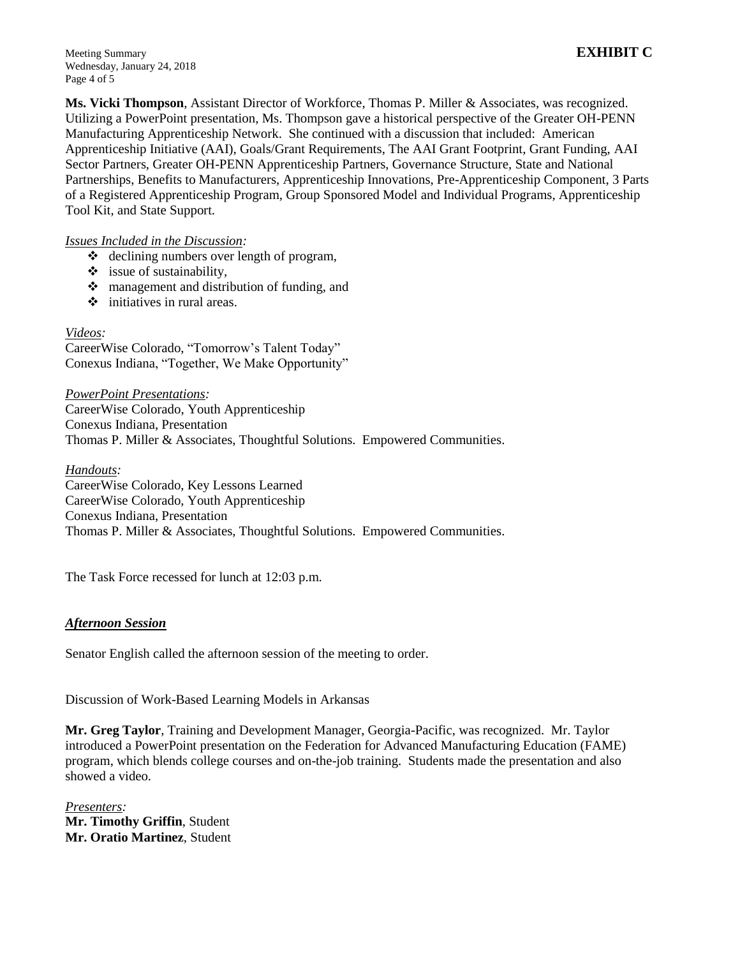Meeting Summary **EXHIBIT C** Wednesday, January 24, 2018 Page 4 of 5

**Ms. Vicki Thompson**, Assistant Director of Workforce, Thomas P. Miller & Associates, was recognized. Utilizing a PowerPoint presentation, Ms. Thompson gave a historical perspective of the Greater OH-PENN Manufacturing Apprenticeship Network. She continued with a discussion that included: American Apprenticeship Initiative (AAI), Goals/Grant Requirements, The AAI Grant Footprint, Grant Funding, AAI Sector Partners, Greater OH-PENN Apprenticeship Partners, Governance Structure, State and National Partnerships, Benefits to Manufacturers, Apprenticeship Innovations, Pre-Apprenticeship Component, 3 Parts of a Registered Apprenticeship Program, Group Sponsored Model and Individual Programs, Apprenticeship Tool Kit, and State Support.

# *Issues Included in the Discussion:*

- declining numbers over length of program,
- $\div$  issue of sustainability,
- $\triangleq$  management and distribution of funding, and
- $\div$  initiatives in rural areas.

### *Videos:*

CareerWise Colorado, "Tomorrow's Talent Today" Conexus Indiana, "Together, We Make Opportunity"

*PowerPoint Presentations:*

CareerWise Colorado, Youth Apprenticeship Conexus Indiana, Presentation Thomas P. Miller & Associates, Thoughtful Solutions. Empowered Communities.

*Handouts:*

CareerWise Colorado, Key Lessons Learned CareerWise Colorado, Youth Apprenticeship Conexus Indiana, Presentation Thomas P. Miller & Associates, Thoughtful Solutions. Empowered Communities.

The Task Force recessed for lunch at 12:03 p.m.

### *Afternoon Session*

Senator English called the afternoon session of the meeting to order.

Discussion of Work-Based Learning Models in Arkansas

**Mr. Greg Taylor**, Training and Development Manager, Georgia-Pacific, was recognized. Mr. Taylor introduced a PowerPoint presentation on the Federation for Advanced Manufacturing Education (FAME) program, which blends college courses and on-the-job training. Students made the presentation and also showed a video.

*Presenters:* **Mr. Timothy Griffin**, Student **Mr. Oratio Martinez**, Student